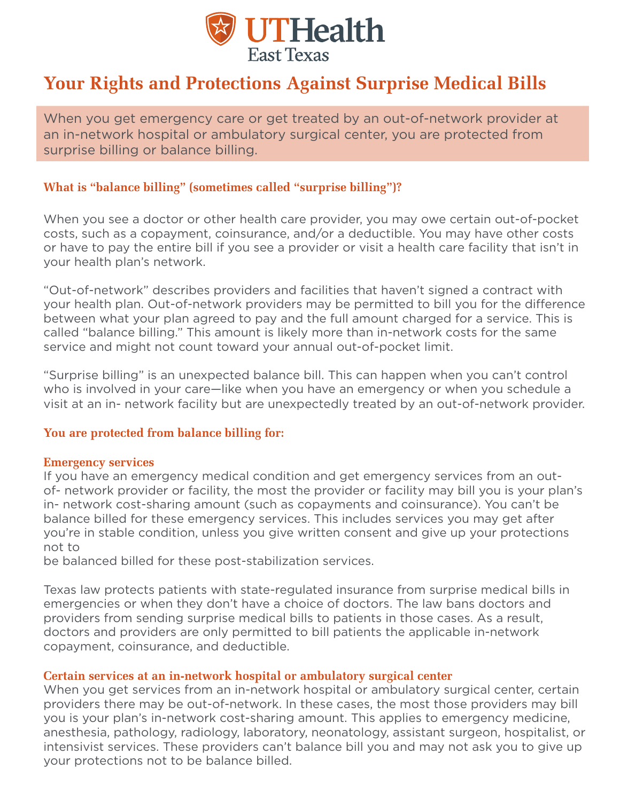

# **Your Rights and Protections Against Surprise Medical Bills**

When you get emergency care or get treated by an out-of-network provider at an in-network hospital or ambulatory surgical center, you are protected from surprise billing or balance billing.

### **What is "balance billing" (sometimes called "surprise billing")?**

When you see a doctor or other health care provider, you may owe certain out-of-pocket costs, such as a copayment, coinsurance, and/or a deductible. You may have other costs or have to pay the entire bill if you see a provider or visit a health care facility that isn't in your health plan's network.

"Out-of-network" describes providers and facilities that haven't signed a contract with your health plan. Out-of-network providers may be permitted to bill you for the difference between what your plan agreed to pay and the full amount charged for a service. This is called "balance billing." This amount is likely more than in-network costs for the same service and might not count toward your annual out-of-pocket limit.

"Surprise billing" is an unexpected balance bill. This can happen when you can't control who is involved in your care—like when you have an emergency or when you schedule a visit at an in- network facility but are unexpectedly treated by an out-of-network provider.

#### **You are protected from balance billing for:**

#### **Emergency services**

If you have an emergency medical condition and get emergency services from an outof- network provider or facility, the most the provider or facility may bill you is your plan's in- network cost-sharing amount (such as copayments and coinsurance). You can't be balance billed for these emergency services. This includes services you may get after you're in stable condition, unless you give written consent and give up your protections not to

be balanced billed for these post-stabilization services.

Texas law protects patients with state-regulated insurance from surprise medical bills in emergencies or when they don't have a choice of doctors. The law bans doctors and providers from sending surprise medical bills to patients in those cases. As a result, doctors and providers are only permitted to bill patients the applicable in-network copayment, coinsurance, and deductible.

#### **Certain services at an in-network hospital or ambulatory surgical center**

When you get services from an in-network hospital or ambulatory surgical center, certain providers there may be out-of-network. In these cases, the most those providers may bill you is your plan's in-network cost-sharing amount. This applies to emergency medicine, anesthesia, pathology, radiology, laboratory, neonatology, assistant surgeon, hospitalist, or intensivist services. These providers can't balance bill you and may not ask you to give up your protections not to be balance billed.